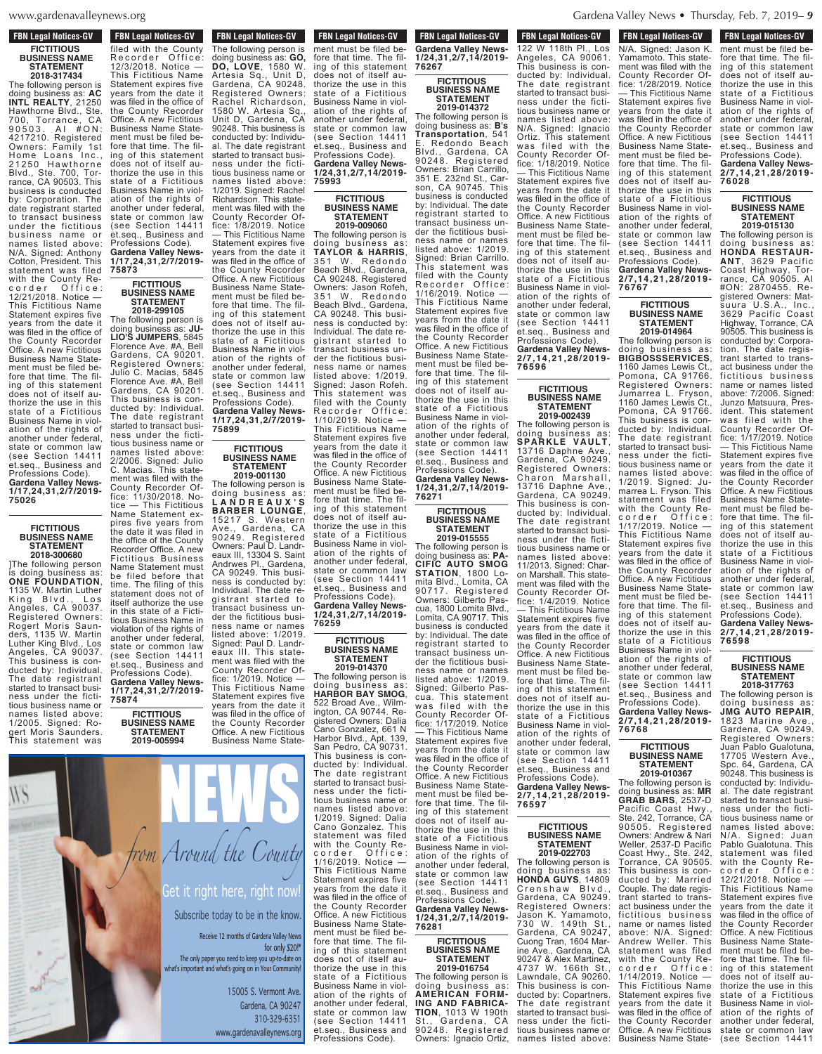$PWS. OYQ$  $\frac{1}{2}$ 

#### **FBN Legal Notices-GV FICTITIOUS BUSINESS NAME STATEMENT 2018-317434**

The following person is doing business as: **AC INTL REALTY**, 21250 Hawthorne Blvd., Ste. 700, Torrance, CA<br>90503 AL #ON· 9 0 5 0 3 . A I # O N : 4217210. Registered Owners: Family 1st Home Loans Inc., 21250 Hawthorne Blvd., Ste. 700, Torrance, CA 90503. This business is conducted by: Corporation. The date registrant started to transact business under the fictitious business name names listed above: N/A. Signed: Anthony Cotton, President. This statement was filed with the County Recorder Office: 12/21/2018. Notice — This Fictitious Name Statement expires five years from the date it was filed in the office of the County Recorder Office. A néw Fictitious Business Name Statement must be filed before that time. The filing of this statement does not of itself authorize the use in this state of a Fictitious Business Name in violation of the rights of another under federal, state or common law (see Section 14411 et.seq., Business and Professions Code). **Gardena Valley News-1/17,24,31,2/7/2019- 75026**

#### **FICTITIOUS BUSINESS NAME STATEMENT 2018-300680**

]The following person is doing business as: **ONE FOUNDATION**, 1135 W. Martin Luther<br>King Blvd., Los King Blvd., Los Angeles, CA 90037. Registered Owners: Rogert Moris Saunders, 1135 W. Martin Luther King Blvd., Los Angeles, CA 90037. This business is conducted by: Individual. The date registrant started to transact business under the fictitious business name or names listed above: 1/2005. Signed: Rogert Moris Saunders. This statement was

filed with the County R e c o r d e r o r d e r o f i c e se e : 12/3/2018. Notice — This Fictitious Name Statement expires five years from the date it was filed in the office of the office of the County Recorder **Office. A new Figure 1, and the Contract of the American State** Business Name State-State-State-State-State-State-State-State-State-State-State-State-State-State-State-State-State-State-State-State-State-State-State-State-State-State-State-State-State-State-State-State-State-State-Stat ment must be filed by the filed before that time. The filing of this statement does not of itself authe use in the use in the use in the use in the use in the use in the use in the use in the use in the use in the use in the use in the use of the use in the use of the use in the use of the use of the use of the use of th state of a Fiction of a Fiction of a Fiction of a Fiction of a Fiction of a Fiction of Business Name in violence of the United States ation of the rights of the rights of the rights of the rights of the rights of the rights of the rights of the and another under the state of the state of the state of the state of the state of the state of the state of the state or common law and common law and common (see Section 1441114) et.seq., Business and Business and Business and Business and Business and Business and Professions Code). **Gardena Valley News-1/17,24,31,2/7/2019-**

filed with the County<br>Recorder Office Recorder Office: 12/3/2018. Notice — This Fictitious Name Statement expires five years from the date it was filed in the office of the County Recorder Office. A new Fictitious Business Name Statement must be filed before that time. The filing of this statement does not of itself authorize the use in this state of a Fictitious Business Name in violation of the rights of another under federal, state or common law (see Section 14411 et.seq., Business and Professions Code). **Gardena Valley News-1/17,24,31,2/7/2019- 75873**

## **FICTITIOUS BUSINESS NAME STATEMENT**

The following person doing business as: **JU-LIO'S JUMPERS**, 5845 Florence Ave. #A, Bell Gardens, CA 90201. Registered Owners: Julio C. Macias, 5845 Florence Ave. #A, Bell Gardens, CA 90201. This business is conducted by: Individual. The date registrant started to transact business under the fictitious business name or names listed above: 2/2006. Signed: Julio C. Macias. This state-C. Macias. This state-<br>ment was filed with the County Recorder Of-fice: 11/30/2018. Notice — This Fictitious Name Statement expires five years from the date it was filed in the office of the County Recorder Office. A new Fictitious Business Name Statement must be filed before that time. The filing of this statement does not of itself authorize the use in this state of a Fictitious Business Name in violation of the rights of another under federal,

(see Section 14411 et.seq., Business and Professions Code). **Gardena Valley News-1/17,24,31,2/7/2019- 75874**

doing business as: **GO, DO, LOVE**, 1580 W. Artesia Sq., Unit D, Gardena, CA 90248. Registered Owners: Rachel Richardson, 1580 W. Artesia Sq., Unit D, Gardena, CA  $\overline{\phantom{a}}$ conducted by: Individual by:  $\Box$  The date registrant registration strom Arou ness under the fiction of the fiction of the fiction of the fiction of the fiction of the fiction of the fiction of the fiction of the fiction of the fiction of the fiction of the fiction of the fiction of the fiction of t tious business name or 11 11 **1/2019. Signed: Rachell Street it ric** 

ment with the contract with the contract of the contract of the contract of the contract of the contract of the contract of the contract of the contract of the contract of the contract of the contract of the contract of th

fice: 1/8/2019. Notice: 1/8/2019. Notice: 1/8/2019. Notice: 1/8/2019. Notice: 1/8/2019. Notice: 1/8/2019. Notice: 1/8/2019. Notice: 1/8/2019. Notice: 1/8/2019. Notice: 1/8/2019. Notice: 1/8/2019. Notice: 1/8/2019. Notice:  $\mathbf{R}$ Statement expires five and the statement of the statement of

 $\mathbf{m}$  file only  $\mathbf{r}$ 

Office. A new Fictitious Business Name Statement must be filed before that time. The filing of this statement does not of itself authorize the use in this state of a Fictitious

state or common law

**FICTITIOUS BUSINESS NAME STATEMENT 2019-005994**

**FBN Legal Notices-GV STATEMENT 2019-005994** The following person is doing business as: **GO, DO, LOVE**, 1580 W. Artesia Sq., Unit D, Gardena, CA 90248. Registered Owners: Rachel Richardson, 1580 W. Artesia Sq., Unit D, Gardena, CA 90248. This business is conducted by: Individual. The date registrant started to transact business under the fictitious business name or names listed above: 1/2019. Signed: Rachel Richardson. This statement was filed with the County Recorder Office: 1/8/2019. Notice — This Fictitious Name Statement expires five years from the date it was filed in the office of the County Recorder **FBN Legal Notices-GV** This regal modifies as

# **2018-299105**

ment must be filed before that time. The filing of this statement does not of itself authorize the use in this state of a Fictitious Business Name in violation of the rights of another under federal, state or common law (see Section 14411 et.seq., Business and Professions Code). **Gardena Valley News-1/17,24,31,2/7/2019- 75899 FICTITIOUS**

## **BUSINESS NAME STATEMENT**

Office. A new Fictitious Business Name State-

**2019-001130** The following person is doing business as: **L A N D R E A U X ' S BARBER LOUNGE**, 15217 S. Western Ave., Gardena, CA 90249. Registered Owners: Paul D. Landreaux III, 13304 S. Saint Andrwes Pl., Gardena, CA 90249. This business is conducted by: Individual. The date registrant started to transact business under the fictitious business name or names listed above: 1/2019. Signed: Paul D. Landreaux III. This state-ment was filed with the County Recorder Office: 1/2019. Notice — This Fictitious Name Statement expires five

years from the date it was filed in the office of the County Recorder Business Name State-The following person is



#### **FICTITIOUS BUSINESS NAME STATEMENT 2019-009060**

The following person is doing business as: **TAYLOR & HARRIS**, 351 W. Redondo Beach Blvd., Gardena, CA 90248. Registered Owners: Jason Rofeh, 351 W. Redondo Beach Blvd., Gardena, CA 90248. This business is conducted by: Individual. The date registrant started to transact business under the fictitious business name or names listed above: 1/2019. Signed: Jason Rofeh. This statement was filed with the County Recorder Office: 1/10/2019. Notice — This Fictitious Name Statement expires five years from the date it was filed in the office of the County Recorder Office. A new Fictitious Business Name Statement must be filed before that time. The filing of this statement does not of itself authorize the use in this state of a Fictitious Business Name in violation of the rights of another under federal, state or common law (see Section 14411 et.seq., Business and rofessions Code). **Gardena Valley News-**

**76259 FICTITIOUS BUSINESS NAME STATEMENT**

**1/24,31,2/7,14/2019-**

**2019-014370** The following person is doing business as: **HARBOR BAY SMOG**, 522 Broad Ave., Wilmington, CA 90744. Registered Owners: Dalia Cano Gonzalez, 661 N Harbor Blvd., Apt. 139, San Pedro, CA 90731. This business is conducted by: Individual. The date registrant started to transact business under the fictitious business name or names listed above: 1/2019. Signed: Dalia Cano Gonzalez. This statement was filed with the County Recorder Office: 1/16/2019. Notice — This Fictitious Name Statement expires five years from the date it was filed in the office of the County Recorder Office. A new Fictitious Business Name Statement must be filed before that time. The filing of this statement does not of itself authorize the use in this state of a Fictitious Business Name in violation of the rights of another under federal,

(see Section 14411 et.seq., Business and  $Professor$ **Professions Code**).

**FBN Legal Notices-GV Profession**<br> **Profession Gardena Valley News-1/24,31,2/7,14/2019- 76267 FICTITIOUS**

### **BUSINESS NAME STATEMENT 2019-014372**

ation of the rights of another under federal state or common law et.seq., Business and Professions Code). **Gardena Valley News-2/7,14,21,28/2019- 76596** The following person is doing business as: **SPARKLE VAULT**, 13716 Daphne Ave., Gardena, CA 90249. The following person is doing business as: **B's Transportation**, 541 Redondo Beach Blvd., Gardena, CA 90248. Registered Owners: Brian Carrillo, 351 E. 232nd St., Carson, CA 90745. This business is conducted by: Individual. The date registrant started to transact business under the fictitious business name or names listed above: 1/2019. Signed: Brian Carrillo. This statement was filed with the County<br>Recorder Office: Recorder Office: 1/16/2019. Notice — This Fictitious Name Statement expires five years from the date it was filed in the office of the County Recorder Office. A néw Fictitious Business Name Statement must be filed before that time. The filing of this statement does not of itself authorize the use in this state of a Fictitious Business Name in violation of the rights of another under federal, state or common law (see Section 14411

et.seq., Business and Professions Code). **Gardena Valley News-1/24,31,2/7,14/2019- 76271**

**FICTITIOUS BUSINESS NAME STATEMENT 2019-015555**

The following person is doing business as: **PA-CIFIC AUTO SMOG STATION**, 1800 Lomita Blvd., Lomita, CA 90717. Registered Owners: Gilberto Pascua, 1800 Lomita Blvd., Lomita, CA 90717. This business is conducted by: Individual. The date registrant started to transact business under the fictitious business name or names listed above: 1/2019. Signed: Gilberto Pascua. This statement was filed with the County Recorder Office: 1/17/2019. Notice — This Fictitious Name Statement expires five years from the date it was filed in the office of the County Recorder Office. A new Fictitious Business Name Statement must be filed before that time. The filing of this statement does not of itself authorize the use in this state of a Fictitious Business Name in violation of the rights of another under federal, state or common law

**76597**

**FICTITIOUS BUSINESS NAME STATEMENT 2019-022703** The following person is doing business as: **HONDA GUYS**, 14809

Gardena, CA 90249. Registered Owners: Jason K. Yamamoto, 730 W. 149th St., Gardena, CA 90247, Cuong Tran, 1604 Marine Ave., Gardena, CA 90247 & Alex Martinez, 4737 W. 166th St., Lawndale, CA 90260. This business is conducted by: Copartners.

started to transact business under the fictitious business name or

et.seq., Business and Professions Code). **Gardena Valley News-1/24,31,2/7,14/2019- 76281**

(see Section 14411

#### **FICTITIOUS BUSINESS NAME STATEMENT**

**2019-016754** The following person is<br>doing business as: doing business as: **AMERICAN FORM-ING AND FABRICA-TION**, 1013 W 190th St., Gardena, CA St., Garuena, S.<br>90248. Registered Owners: Ignacio Ortiz,

**FBN Legal Notices-GV** rbiv Leyal Nutiles-GV N/A. Signed: Jason K. Yamamoto. This statement was filed with the County Recorder Of-<br>fice: 1/28/2019. Notice fice: 1/28/2019. Notice — This Fictitious Name Statement expires five years from the date it was filed in the office of the County Recorder Office. A new Fictitious Business Name Statement must be filed before that time. The filing of this statement does not of itself authorize the use in this state of a Fictitious Business Name in violation of the rights of another under federal, state or common law (see Section 14411 et.seq., Business and Professions Code). **Gardena Valley News-2/7,14,21,28/2019- 76767 FBN Legal Notices-GV FOW LEGAL MULTERS-GV** 122 W 118th Pl., Los Angeles, CA 90061. This business is conducted by: Individual. The date registrant started to transact business under the fictitious business name or names listed above: N/A. Signed: Ignacio Ortiz. This statement was filed with the County Recorder Office: 1/18/2019. Notice — This Fictitious Name Statement expires five years from the date it was filed in the office of the County Recorder Office. A new Fictitious Business Name Statement must be filed before that time. The filing of this statement does not of itself authorize the use in this state of a Fictitious Business Name in viol-

#### **FICTITIOUS BUSINESS NAME STATEMENT 2019-014964**

Section 14411

**FICTITIOUS BUSINESS NAME STATEMENT 2019-002439**

Registered Owners:

13716 Daphne Ave., Gardena, CA 90249. This business is conducted by: Individual. The date registrant started to transact business under the fictitious business name or names listed above: 11/2013. Signed: Charon Marshall<sup>"</sup> This statement was filed with the County Recorder Office: 1/4/2019. Notice — This Fictitious Name Statement expires five years from the date it was filed in the office of the County Recorder Office. A new Fictitious Business Name Statement must be filed before that time. The filing of this statement does not of itself authorize the use in this state of a Fictitious Business Name in violation of the rights of another under federal, state or common law (see Section 14411 et.seq., Business and Professions Code). **Gardena** Valley Ne **2/7,14,21,28/2019-**

The following person is doing business **BIGBOSSSERVICES**, 1160 James Lewis Ct., Pomona, CA 91766. Registered Owners: Jumarrea L. Fryson, 1160 James Lewis Ct., Pomona, CA 91766. This business is conducted by: Individual. The date registrant started to transact business under the fictitious business name or names listed above: 1/2019. Signed: Jumarrea L. Fryson. This statement was filed with the County Recorder Office: 1/17/2019. Notice — This Fictitious Name Statement expires five years from the date it was filed in the office of the County Recorder Office. A new Fictitious Business Name Statement must be filed before that time. The filing of this statement does not of itself authorize the use in this state of a Fictitious Business Name in violation of the rights of another under federal, state or common law (see Section 14411 et.seq., Business and Professions Code). Charon Marshall,

**Gardena Valley News-2/7,14,21,28/2019- 76768**

#### **FICTITIOUS BUSINESS NAME STATEMENT 2019-010367**

The following person is doing business as: **MR GRAB BARS**, 2537-D Pacific Coast Hwy., Ste. 242, Torrance, CA 90505. Registered Owners: Andrew & Nari Weller, 2537-D Pacific Coast Hwy., Ste. 242, Torrance, CA 90505. This business is conducted by: Married Couple. The date registrant started to transact business under the fictitious business name or names listed na...<br>above: N/A. Signed:<br>Andrew Weller. This Andrew Weller. This<br>statement was filed statement was filed with the County Recorder Office: 1/14/2019. Notice — This Fictitious Name Statement expires five years from the date it was filed in the office of the County Recorder Office. A new Fictitious Business Name State-Crenshaw Blvd., The date registrant names listed above:

**FBN Legal Notices-GV Business Transference** ment must be filed before that time. The filing of this statement does not of itself authorize the use in this state of a Fictitious Business Name in violation of the rights of another under federal, state or common law (see Section 14411 et.seq., Business and Professions Code). **Gardena Valley News-2/7,14,21,28/2019- 76028**

#### **FICTITIOUS BUSINESS NAME STATEMENT 2019-015130**

The following person is doing business as: **HONDA RESTAUR-ANT**, 3629 Pacific Coast Highway, Torrance, CA 90505. AI #ON: 2870455. Registered Owners: Matsuura U.S.A., Inc., 3629 Pacific Coast Highway, Torrance, CA 90505. This business is conducted by: Corporation. The date registrant started to transact business under the fictitious business name or names listed above: 7/2006. Signed: Junzo Matsuura, President. This statement was filed with the County Recorder Office: 1/17/2019. Notice — This Fictitious Name Statement expires five years from the date it was filed in the office of the County Recorder Office. A new Fictitious Business Name Statement must be filed before that time. The filing of this statement does not of itself authorize the use in this state of a Fictitious Business Name in violation of the rights of another under federal, state or common law (see Section 14411 et.seq., Business and Professions Code). **Gardena Valley News-2/7,14,21,28/2019- 76598**

**FICTITIOUS BUSINESS NAME STATEMENT 2018-317763**

The following person is doing business as: **JMG AUTO REPAIR**, 1823 Marine Ave., Gardena, CA 90249. Registered Owners: Juan Pablo Gualotuna, 17705 Western Ave., Spc. 64, Gardena, CA 90248. This business is conducted by: Individual. The date registrant started to transact business under the fictitious business name or names listed above: N/A. Signed: Juan N/A. Signed: Juan<br>Pablo Gualotuna. This statement was filed with the County Recorder Office: 12/21/2018. Notice — This Fictitious Name Statement expires five years from the date it was filed in the office of the County Recorder Office. A new Fictitious Business Name Statement must be filed before that time. The filing of this statement does not of itself authorize the use in this state of a Fictitious Business Name in violation of the rights of another under federal, state or common law (see Section 14411



www.gardenavalleynews.org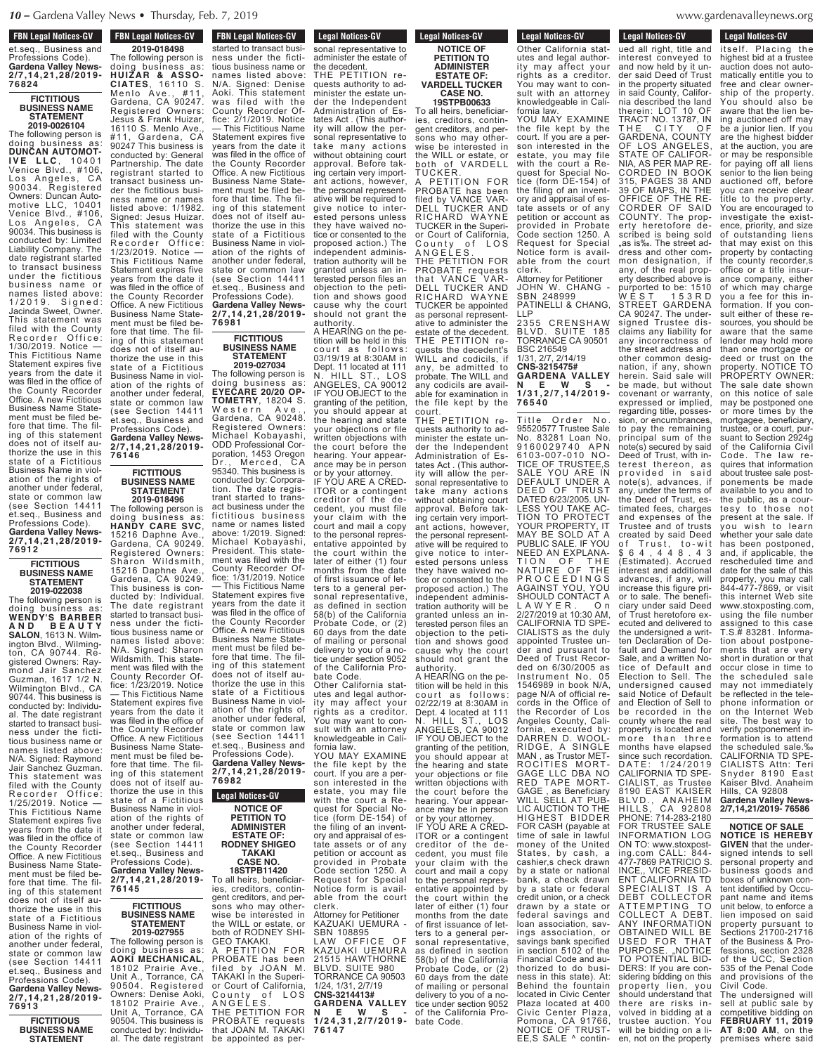#### **FBN Legal Notices-GV FON LEGAL NULLES-AV** et.seq., Business and

Professions Code). **Gardena Valley News-2/7,14,21,28/2019- 76824**

#### **FICTITIOUS BUSINESS NAME STATEMENT**

**2019-0026104** The following person is doing business as: **DUNCAN AUTOMOT-I V E L L C** , 1 0 4 0 1 Venice Blvd., #106, Los Angeles, CA 90034. Registered Owners: Duncan Automotive LLC, 10401 Venice Blvd., #106, Los Angeles, CA 90034. This business is conducted by: Limited Liability Company. The date registrant started to transact business under the fictitious business name or names listed above: 1/2019. Signed: Jacinda Sweet, Owner. This statement was filed with the County Recorder Office: 1/30/2019. Notice — This Fictitious Name Statement expires five years from the date it was filed in the office of the County Recorder Office. A néw Fictitious Business Name Statement must be filed before that time. The filing of this statement does not of itself authorize the use in this state of a Fictitious Business Name in violation of the rights of another under federal, state or common law (see Section 14411 et.seq., Business and Professions Code). **Gardena Valley News-2/7,14,21,28/2019-**

#### **FICTITIOUS BUSINESS NAME STATEMENT**

**76912**

**2019-022038** The following person is doing business as: **WENDY'S BARBER A N D B E A U T Y SALON**, 1613 N. Wilmington Blvd., Wilmington, CA 90744. Registered Owners: Raymond Jair Sanchez Guzman, 1617 1/2 N. Wilmington Blvd., CA 90744. This business is conducted by: Individual. The date registrant started to transact business under the fictitious business name or names listed above: N/A. Signed: Raymond Jair Sanchez Guzman. This statement was filed with the County Recorder Office: 1/25/2019. Notice — This Fictitious Name Statement expires five years from the date it was filed in the office of the County Recorder Office. A new Fictitious Business Name Statement must be filed before that time. The filing of this statement does not of itself authorize the use in this state of a Fictitious Business Name in violation of the rights of another under federal, state or common law (see Section 14411 et.seq., Business and Professions Code). **Gardena Valley News-2/7,14,21,28/2019- 76913**

> **FICTITIOUS BUSINESS NAME STATEMENT 2019-018498**

**FBN Legal Notices-GV BUSINESS NAME Legal Nutices-**

fice: 2/1/2019. Notice — This Fictitious Name Statement expires five years from the date it was filed in the office of the County Recorder Office. A new Fictitious Business Name Statement must be filed before that time. The filing of this statement does not of itself authorize the use in this state of a Fictitious Business Name in violation of the rights of another under federal, state or common law (see Section 14411 et.seq., Business and Professions Code). **Gardena Valley News-2/7,14,21,28/2019- 76981 FICTITIOUS BUSINESS NAME 2019-018498** The following person is doing business as: **HUIZAR & ASSO-CIATES**, 16110 S. Menlo Ave., #11, Gardena, CA 90247. Registered Owners: Jesus & Frank Huizar, 16110 S. Menlo Ave., #11, Gardena, CA 90247 This business is conducted by: General Partnership. The date registrant started to transact business under the fictitious business name or names listed above: 1/1982. Signed: Jesus Huizar. This statement was filed with the County Recorder Office: 1/23/2019. Notice — This Fictitious Name Statement expires five years from the date it was filed in the office of the County Recorder Office. A new Fictitious Business Name Statement must be filed before that time. The filing of this statement

The following person is doing business as: **EYECARE 20/20 OP-TOMETRY**, 18204 S. Western Ave., Gardena, CA 90248. Registered Owners: Michael Kobayashi, ODD Professional Corporation, 1453 Oregon Dr., Merced, CA does not of itself authorize the use in this state of a Fictitious Business Name in violation of the rights of another under federal, state or common law (see Section 14411 et.seq., Business and Professions Code). **Gardena Valley News-2/7,14,21,28/2019- 76146**

#### **FICTITIOUS BUSINESS NAME STATEMENT 2019-018496**

trant started to transact business under the fictitious business name or names listed above: 1/2019. Signed: Michael Kobayashi, President. This statement was filed with the County Recorder Office: 1/31/2019. Notice — This Fictitious Name Statement expires five years from the date it was filed in the office of the County Recorder Office. A new Fictitious Business Name Statement must be filed before that time. The filing of this statement does not of itself authorize the use in this state of a Fictitious Business Name in violation of the rights of another under federal, state or common law (see Section 14411 et.seq., Business and Professions Code). **Gardena Valley News-2/7,14,21,28/2019- 76982 Legal Notices-GV NOTICE OF PETITION TO ADMINISTER ESTATE OF:** The following person is doing business as: **HANDY CARE SVC**, 15216 Daphne Ave., Gardena, CA 90249. Registered Owners: Sharon Wi ldsmith, 15216 Daphne Ave., Gardena, CA 90249. This business is conducted by: Individual. The date registrant started to transact business under the fictitious business name or names listed above: N/A. Signed: Sharon Wildsmith. This statement was filed with the County Recorder Office: 1/23/2019. Notice — This Fictitious Name Statement expires five years from the date it was filed in the office of the County Recorder Office. A new Fictitious Business Name Statement must be filed before that time. The fil-ing of this statement does not of itself authorize the use in this state of a Fictitious Business Name in violation of the rights of another under federal, state or common law

et.seq., Business and Professions Code). **Gardena Valley News-2/7,14,21,28/2019- 76145**

(see Section 14411

#### **FICTITIOUS BUSINESS NAME STATEMENT**

**2019-027955** The following person is doing business as: **AOKI MECHANICAL**, 18102 Prairie Ave., Unit A., Torrance, CA 90504. Registered<br>Owners: Denise Aoki, 18102 Prairie Ave., Unit A, Torrance, CA 90504. This business is conducted by: Individual. The date registrant

started to transact busi-

**Legal Notices-GV be all numerous** sonal representative to administer the estate of the decedent. THE PETITION requests authority to administer the estate under the Independent **FBN Legal Notices-GV FIGURE THE DATE REGIST** started to transact busi ness under the fictitious business name or names listed above: N/A. Signed: Denise Aoki. This statement was filed with the County Recorder Of-

> **STATEMENT 2019-027034**

95340. This business is conducted by: Corporation. The date regis-

**RODNEY SHIGEO TAKAKI CASE NO. 18STPB11420**

gent creditors, and persons who may otherwise be interested in the WILL or estate, or both of RODNEY SHI-GEO TAKAKI.

PROBATE has been filed by JOAN M. TAKAKI in the Superior Court of California, County of LOS A N G E L E S . THE PETITION FOR PROBATE requests that JOAN M. TAKAKI be appointed as per-

Administration of Estates Act . (This authority will allow the personal representative to take many actions without obtaining court approval. Before taking certain very important actions, however, the personal representative will be required to give notice to interested persons unless they have waived notice or consented to the proposed action.) The independent administration authority will be granted unless an interested person files an objection to the petition and shows good cause why the court should not grant the

authority. A HEARING on the petition will be held in this court as follows 03/19/19 at 8:30AM in Dept. 11 located at 111 N. HILL ST., LOS ANGELES, CA 90012 IF YOU OBJECT to the granting of the petition, you should appear at the hearing and state your objections or file written objections with the court before the hearing. Your appearance may be in person or by your attorney.

IF YOU ARE A CRED-ITOR or a contingent creditor of the decedent, you must file your claim with the court and mail a copy to the personal representative appointed by the court within the later of either (1) four months from the date of first issuance of letters to a general personal representative, as defined in section 58(b) of the California Probate Code, or (2) 60 days from the date of mailing or personal delivery to you of a notice under section 9052 of the California Probate Code. Other California stat-

utes and legal authority may affect your rights as a creditor. You may want to consult with an attorney knowledgeable in California law.

YOU MAY EXAMINE the file kept by the court. If you are a person interested in the estate, you may file with the court a Request for Special Notice (form DE-154) of the filing of an inventory and appraisal of estate assets or of any petition or account as provided in Probate Code section 1250. A Request for Special Notice form is available from the court To all heirs, beneficiaries, creditors, contin-

clerk. Attorney for Petitioner KAZUAKI UEMURA - SBN 108895 LAW OFFICE OF KAZUAKI UEMURA 21515 HAWTHORNE BLVD. SUITE 980 TORRANCE CA 90503 **PETITION FOR** 

1/24, 1/31, 2/7/19 **CNS-3214413# GARDENA VALLEY N E W S - 7 6 1 4 7**

**Legal Notices-GV NOTICE OF PETITION TO ADMINISTER ESTATE OF: VARDELL TUCKER**

## **CASE NO. 19STPB00633** To all heirs, beneficiar-

ies, creditors, contingent creditors, and persons who may otherwise be interested in the WILL or estate, or both of VARDELL TUCKER. A PETITION FOR PROBATE has been filed by VANCE VAR-DELL TUCKER AND RICHARD WAYNE TUCKER in the Superior Court of California, County of LOS A N G E L E S . THE PETITION FOR PROBATE requests that VANCE VAR-DELL TUCKER AND RICHARD WAYNE TUCKER be appointed as personal representative to administer the estate of the decedent. THE PETITION requests the decedent's

Title Order No. WILL and codicils, any, be admitted to probate. The WILL and any codicils are available for examination in the file kept by the court.

THE PETITION requests authority to administer the estate under the Independent Administration of Estates Act . (This authority will allow the personal representative to take many actions without obtaining court approval. Before taking certain very important actions, however, the personal representative will be required to give notice to interested persons unless they have waived notice or consented to the proposed action.) The independent administration authority will be granted unless an interested person files an objection to the petition and shows good cause why the court should not grant the authority.

A HEARING on the petition will be held in this court as follows: 02/22/19 at 8:30AM in Dept. 4 located at 111 N. HILL ST., LOS ANGELES, CA 90012 IF YOU OBJECT to the granting of the petition, you should appear at the hearing and state your objections or file written objections with the court before the hearing. Your appear-

ance may be in person or by your attorney. IF YOU ARE A CRED-ITOR or a contingent creditor of the decedent, you must file your claim with the court and mail a copy to the personal representative appointed by the court within the later of either (1) four months from the date of first issuance of letters to a general personal representative, as defined in section 58(b) of the California Probate Code, or (2) 60 days from the date of mailing or personal delivery to you of a notice under section 9052 **N** E **W** S – of the California Pro-<br>**1/24,31,2/7/2019**- bate Code.

Other California stat-

**Legal Notices-GV Leyal Nutlut** Other California statutes and legal authority may affect your rights as a creditor.

You may want to consult with an attorney knowledgeable in California law. YOU MAY EXAMINE the file kept by the court. If you are a person interested in the estate, you may file with the court a Request for Special Notice (form DE-154) of the filing of an inventory and appraisal of estate assets or of any petition or account as provided in Probate Code section 1250. A Request for Special Notice form is available from the court clerk.

Attorney for Petitioner JOHN W. CHANG - SBN 248999 PATINELLI & CHANG, LLP<br>2355<br>BLVD. 2355 CRENSHAW BLVD. SUITE 185 TORRANCE CA 90501 BSC 216549 1/31, 2/7, 2/14/19 **CNS-3215475# GARDENA VALLEY N E W S - 1 / 3 1 , 2 / 7 , 1 4 / 2 0 1 9 - 7 6 5 4 0**

DERS: If you are considering bidding on this trustee auction. You<br>will be bidding on a lien, not on the property 95520577 Trustee Sale No. 83281 Loan No. 9160029740 APN 6103-007-010 NO-TICE OF TRUSTEE,S SALE YOU ARE IN DEFAULT UNDER A DEED OF TRUST DATED 6/23/2005. UN-LESS YOU TAKE AC-TION TO PROTECT YOUR PROPERTY, IT MAY BE SOLD AT A PUBLIC SALE. IF YOU NEED AN EXPLANA-TION OF THE NATURE OF THE P R O C E E D I N G S AGAINST YOU, YOU SHOULD CONTACT A<br>LAWYER On L A W Y E R . O n 2/27/2019 at 10:30 AM, CALIFORNIA TD SPF-CIALISTS as the duly appointed Trustee under and pursuant to Deed of Trust Recorded on 6/30/2005 as Instrument No. 1546989 in book N/A, page N/A of official records in the Office of the Recorder of Los Angeles County, California, executed by: DARREN D. WOOL-RIDGE, A SINGLE MAN , as Trustor MET-ROCITIES MORT-<br>GAGE LLC DBA NO RED TAPE MORT-GAGE , as Beneficiary WILL SELL AT PUB-LIC AUCTION TO THE HIGHEST BIDDER FOR CASH (payable at time of sale in lawful money of the United States, by cash, a cashier's check drawn by a state or national bank, a check drawn by a state or federal credit union, or a check drawn by a state or federal savings and loan association, savings association, or savings bank specified in section 5102 of the Financial Code and authorized to do business in this state). At: Behind the fountain located in Civic Center Plaza located at 400 Civic Center Plaza, Pomona, CA 91766, NOTICE OF TRUST-EE,S SALE  $^{\wedge}$  contin-

#### denavalleynews.org  $t_{\text{t}}$  are the properties and  $\theta$ Civic Center Center Center Plaza, Center Center Center Center Center Center Center Center Center Center Center Center Center Center Center Center Center Center Center Center Center Center Center Center Center Center Center Pomona, CA 91766,

**Legal Notices-GV** 

Eegal Nutices-GV ued all right, title and **Legal Notices-GV** 

Eegal Nutries-GV itself. Placing the

highest bid at a trustee auction does not automatically entitle you to free and clear ownership of the property. You should also be aware that the lien being auctioned off may be a junior lien. If you are the highest bidder at the auction, you are or may be responsible for paying off all liens senior to the lien being auctioned off, before you can receive clear title to the property You are encouraged to investigate the existence, priority, and size of outstanding liens interest conveyed to and now held by it under said Deed of Trust in the property situated in said County, California described the land therein: LOT 10 OF TRACT NO. 13787, IN THE CITY OF GARDENA, COUNTY OF LOS ANGELES, STATE OF CALIFOR-NIA, AS PER MAP RE-CORDED IN BOOK 315, PAGES 38 AND 39 OF MAPS, IN THE OFFICE OF THE RE-CORDER OF SAID COUNTY. The property heretofore described is being sold "as is‰. The street address and other common designation, if any, of the real property described above is purported to be: 1510 W E S T 1 5 3 R D STREET GARDENA CA 90247. The undersigned Trustee disclaims any liability for any incorrectness of the street address and other common designation, if any, shown herein. Said sale will be made, but without covenant or warranty, expressed or implied, regarding title, possession, or encumbrances, to pay the remaining principal sum of the note(s) secured by said Deed of Trust, with interest thereon, as provided in said note(s), advances, if any, under the terms of the Deed of Trust, estimated fees, charges and expenses of the Trustee and of trusts created by said Deed of Trust, to-wit \$ 6 4 , 4 4 8 . 4 3 (Estimated). Accrued interest and additional advances, if any, will increase this figure prior to sale. The beneficiary under said Deed of Trust heretofore executed and delivered to the undersigned a written Declaration of Default and Demand for Sale, and a written No-<br>tice of Default and of Default and Election to Sell. The undersigned caused said Notice of Default and Election of Sell to be recorded in the county where the real property is located and more than three months have elapsed since such recordation. D A T E : 1 / 2 4 / 2 0 1 9 CALIFORNIA TD SPE-CIALIST, as Trustee 8190 EAST KAISER BLVD., ANAHEIM HILLS, CA 92808 PHONE: 714-283-2180 FOR TRUSTEE SALE INFORMATION LOG ON TO: www.stoxposting.com CALL: 844- 477-7869 PATRICIO S. INCE,, VICE PRESID-ENT CALIFORNIA TD SPECIALIST IS A DEBT COLLECTOR ATTEMPTING TO COLLECT A DEBT. ANY INFORMATION

property pursuant to Sections 21700-21716 of the Business & Professions, section 2328 of the UCC, Section 535 of the Penal Code and provisions of the

OBTAINED WILL BE USED FOR THAT PURPOSE. "NOTICE TO POTENTIAL BID-

property lien, you should understand that there are risks involved in bidding at a

Civil Code. The undersigned will sell at public sale by competitive bidding on **FEBRUARY 11, 2019 AT 8:00 AM**, on the premises where said

that may exist on this property by contacting the county recorder,s office or a title insurance company, either of which may charge you a fee for this information. If you consult either of these resources, you should be aware that the same lender may hold more than one mortgage or deed or trust on the property. NOTICE TO PROPERTY OWNER: The sale date shown on this notice of sale may be postponed one or more times by the mortgagee, beneficiary, trustee, or a court, pursuant to Section 2924q of the California Civil Code. The law requires that information about trustee sale postponements be made available to you and to the public, as a courtesy to those not present at the sale. If you wish to learn whether your sale date has been postponed, and, if applicable, the rescheduled time and date for the sale of this property, you may call 844-477-7869, or visit this internet Web site www.stoxposting.com, using the file number assigned to this case T.S.# 83281. Information about postponements that are very short in duration or that occur close in time to the scheduled sale may not immediately be reflected in the telephone information or on the Internet Web site. The best way to verify postponement information is to attend the scheduled sale.‰ CALIFORNIA TD SPE-CIALISTS Attn: Teri<br>Snyder 8190 East Kaiser Blvd. Anaheim Hills, CA 92808 **Gardena Valley News-2/7,14,21/2019- 76586 NOTICE OF SALE NOTICE IS HEREBY GIVEN** that the undersigned intends to sell personal property and business goods and boxes of unknown content identified by Occupant name and items unit below, to enforce a lien imposed on said